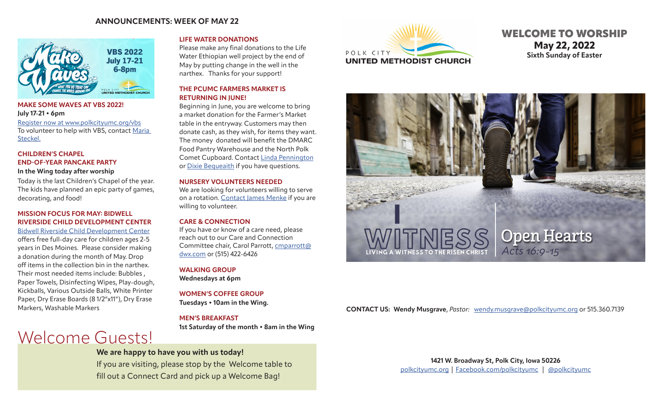# **ANNOUNCEMENTS: WEEK OF MAY 22**



# **MAKE SOME WAVES AT VBS 2022! July 17-21 • 6pm**

[Register now at www.polkcityumc.org/vbs](https://www.polkcityumc.org/vbs.html) To volunteer to help with VBS, contact Maria Steckel.

# **CHILDREN'S CHAPEL END-OF-YEAR PANCAKE PARTY**

#### **In the Wing today after worship**

Today is the last Children's Chapel of the year. The kids have planned an epic party of games, decorating, and food!

# **MISSION FOCUS FOR MAY: BIDWELL RIVERSIDE CHILD DEVELOPMENT CENTER**

[Bidwell Riverside Child Development Center](https://www.bidwellriverside.org/) offers free full-day care for children ages 2-5 years in Des Moines. Please consider making a donation during the month of May. Drop off items in the collection bin in the narthex. Their most needed items include: Bubbles , Paper Towels, Disinfecting Wipes, Play-dough, Kickballs, Various Outside Balls, White Printer Paper, Dry Erase Boards (8 1/2"x11"), Dry Erase Markers, Washable Markers

# Welcome Guests!

# **LIFE WATER DONATIONS**

Please make any final donations to the Life Water Ethiopian well project by the end of May by putting change in the well in the narthex. Thanks for your support!

# **THE PCUMC FARMERS MARKET IS RETURNING IN JUNE!**

Beginning in June, you are welcome to bring a market donation for the Farmer's Market table in the entryway. Customers may then donate cash, as they wish, for items they want. The money donated will benefit the DMARC Food Pantry Warehouse and the North Polk Comet Cupboard. Contact [Linda Pennington](mailto:penningtonlinda30%40gmail.com?subject=PCUMC%20Farmer%27s%20Market) or [Dixie Bequeaith](mailto:dbequeai967%40msn.com?subject=PCUMC%20Farmer%27s%20Market) if you have questions.

#### **NURSERY VOLUNTEERS NEEDED**

We are looking for volunteers willing to serve on a rotation. [Contact](mailto:jemenke12%40gmail.com?subject=Nursery%20Volunteer) James Menke if you are willing to volunteer.

# **CARE & CONNECTION**

If you have or know of a care need, please reach out to our Care and Connection Committee chair, Carol Parrott, [cmparrott@](mailto:cmparrott%40dwx.com?subject=Care%20Need) [dwx.com](mailto:cmparrott%40dwx.com?subject=Care%20Need) or (515) 422-6426

**WALKING GROUP**

**Wednesdays at 6pm**

# **WOMEN'S COFFEE GROUP**

**Tuesdays • 10am in the Wing.** 

# **MEN'S BREAKFAST**

**1st Saturday of the month • 8am in the Wing** 

# **We are happy to have you with us today!**

If you are visiting, please stop by the Welcome table to fill out a Connect Card and pick up a Welcome Bag!



# WELCOME TO WORSHIP **May 22, 2022 Sixth Sunday of Easter**



# **CONTACT US: Wendy Musgrave**, *Pastor:* [wendy.musgrave@polkcityumc.org](mailto:wendy.musgrave%40polkcityumc.org?subject=) or 515.360.7139

**1421 W. Broadway St, Polk City, Iowa 50226** [polkcityumc.org](http://polkcityumc.org) | [Facebook.com/polkcityumc](http://Facebook.com/polkcityumc) | [@polkcityumc](https://www.instagram.com/polkcityyouth/)